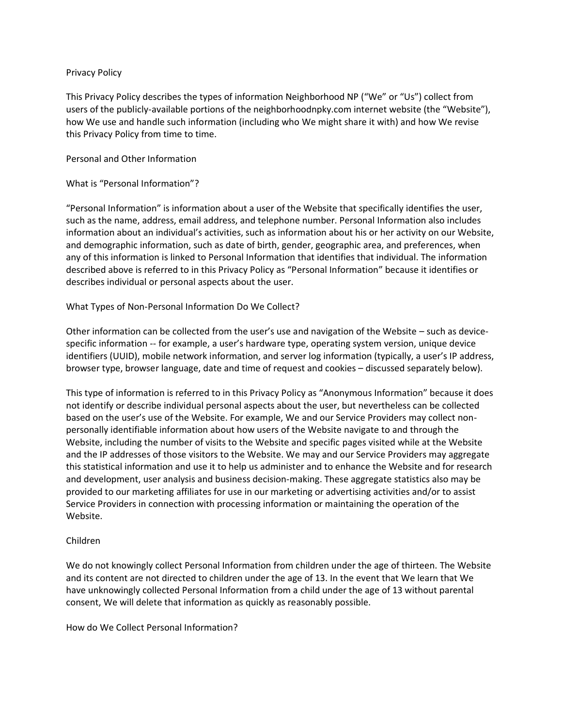#### Privacy Policy

This Privacy Policy describes the types of information Neighborhood NP ("We" or "Us") collect from users of the publicly-available portions of the neighborhoodnpky.com internet website (the "Website"), how We use and handle such information (including who We might share it with) and how We revise this Privacy Policy from time to time.

## Personal and Other Information

#### What is "Personal Information"?

"Personal Information" is information about a user of the Website that specifically identifies the user, such as the name, address, email address, and telephone number. Personal Information also includes information about an individual's activities, such as information about his or her activity on our Website, and demographic information, such as date of birth, gender, geographic area, and preferences, when any of this information is linked to Personal Information that identifies that individual. The information described above is referred to in this Privacy Policy as "Personal Information" because it identifies or describes individual or personal aspects about the user.

# What Types of Non-Personal Information Do We Collect?

Other information can be collected from the user's use and navigation of the Website – such as devicespecific information -- for example, a user's hardware type, operating system version, unique device identifiers (UUID), mobile network information, and server log information (typically, a user's IP address, browser type, browser language, date and time of request and cookies – discussed separately below).

This type of information is referred to in this Privacy Policy as "Anonymous Information" because it does not identify or describe individual personal aspects about the user, but nevertheless can be collected based on the user's use of the Website. For example, We and our Service Providers may collect nonpersonally identifiable information about how users of the Website navigate to and through the Website, including the number of visits to the Website and specific pages visited while at the Website and the IP addresses of those visitors to the Website. We may and our Service Providers may aggregate this statistical information and use it to help us administer and to enhance the Website and for research and development, user analysis and business decision-making. These aggregate statistics also may be provided to our marketing affiliates for use in our marketing or advertising activities and/or to assist Service Providers in connection with processing information or maintaining the operation of the Website.

# Children

We do not knowingly collect Personal Information from children under the age of thirteen. The Website and its content are not directed to children under the age of 13. In the event that We learn that We have unknowingly collected Personal Information from a child under the age of 13 without parental consent, We will delete that information as quickly as reasonably possible.

How do We Collect Personal Information?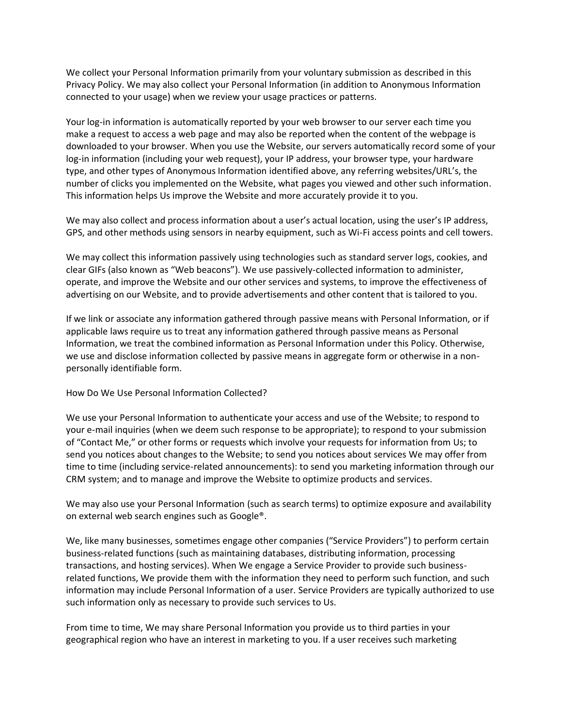We collect your Personal Information primarily from your voluntary submission as described in this Privacy Policy. We may also collect your Personal Information (in addition to Anonymous Information connected to your usage) when we review your usage practices or patterns.

Your log-in information is automatically reported by your web browser to our server each time you make a request to access a web page and may also be reported when the content of the webpage is downloaded to your browser. When you use the Website, our servers automatically record some of your log-in information (including your web request), your IP address, your browser type, your hardware type, and other types of Anonymous Information identified above, any referring websites/URL's, the number of clicks you implemented on the Website, what pages you viewed and other such information. This information helps Us improve the Website and more accurately provide it to you.

We may also collect and process information about a user's actual location, using the user's IP address, GPS, and other methods using sensors in nearby equipment, such as Wi-Fi access points and cell towers.

We may collect this information passively using technologies such as standard server logs, cookies, and clear GIFs (also known as "Web beacons"). We use passively-collected information to administer, operate, and improve the Website and our other services and systems, to improve the effectiveness of advertising on our Website, and to provide advertisements and other content that is tailored to you.

If we link or associate any information gathered through passive means with Personal Information, or if applicable laws require us to treat any information gathered through passive means as Personal Information, we treat the combined information as Personal Information under this Policy. Otherwise, we use and disclose information collected by passive means in aggregate form or otherwise in a nonpersonally identifiable form.

How Do We Use Personal Information Collected?

We use your Personal Information to authenticate your access and use of the Website; to respond to your e-mail inquiries (when we deem such response to be appropriate); to respond to your submission of "Contact Me," or other forms or requests which involve your requests for information from Us; to send you notices about changes to the Website; to send you notices about services We may offer from time to time (including service-related announcements): to send you marketing information through our CRM system; and to manage and improve the Website to optimize products and services.

We may also use your Personal Information (such as search terms) to optimize exposure and availability on external web search engines such as Google®.

We, like many businesses, sometimes engage other companies ("Service Providers") to perform certain business-related functions (such as maintaining databases, distributing information, processing transactions, and hosting services). When We engage a Service Provider to provide such businessrelated functions, We provide them with the information they need to perform such function, and such information may include Personal Information of a user. Service Providers are typically authorized to use such information only as necessary to provide such services to Us.

From time to time, We may share Personal Information you provide us to third parties in your geographical region who have an interest in marketing to you. If a user receives such marketing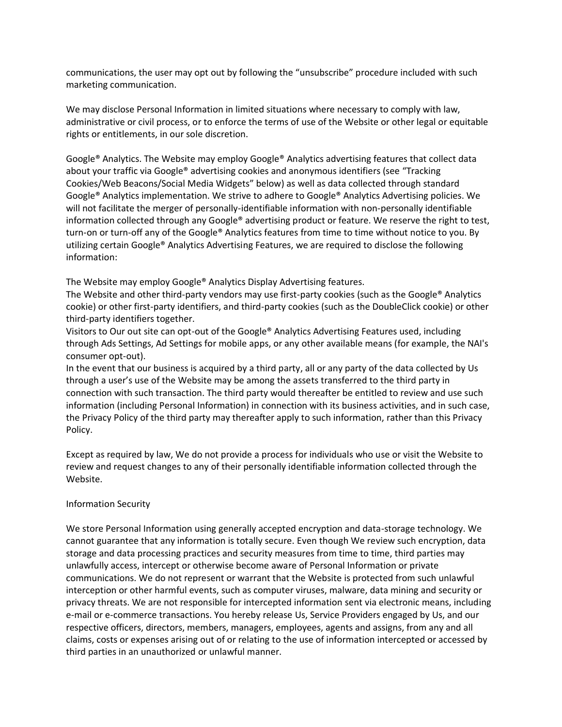communications, the user may opt out by following the "unsubscribe" procedure included with such marketing communication.

We may disclose Personal Information in limited situations where necessary to comply with law, administrative or civil process, or to enforce the terms of use of the Website or other legal or equitable rights or entitlements, in our sole discretion.

Google® Analytics. The Website may employ Google® Analytics advertising features that collect data about your traffic via Google® advertising cookies and anonymous identifiers (see "Tracking Cookies/Web Beacons/Social Media Widgets" below) as well as data collected through standard Google® Analytics implementation. We strive to adhere to Google® Analytics Advertising policies. We will not facilitate the merger of personally-identifiable information with non-personally identifiable information collected through any Google® advertising product or feature. We reserve the right to test, turn-on or turn-off any of the Google® Analytics features from time to time without notice to you. By utilizing certain Google® Analytics Advertising Features, we are required to disclose the following information:

The Website may employ Google® Analytics Display Advertising features.

The Website and other third-party vendors may use first-party cookies (such as the Google® Analytics cookie) or other first-party identifiers, and third-party cookies (such as the DoubleClick cookie) or other third-party identifiers together.

Visitors to Our out site can opt-out of the Google® Analytics Advertising Features used, including through Ads Settings, Ad Settings for mobile apps, or any other available means (for example, the NAI's consumer opt-out).

In the event that our business is acquired by a third party, all or any party of the data collected by Us through a user's use of the Website may be among the assets transferred to the third party in connection with such transaction. The third party would thereafter be entitled to review and use such information (including Personal Information) in connection with its business activities, and in such case, the Privacy Policy of the third party may thereafter apply to such information, rather than this Privacy Policy.

Except as required by law, We do not provide a process for individuals who use or visit the Website to review and request changes to any of their personally identifiable information collected through the Website.

#### Information Security

We store Personal Information using generally accepted encryption and data-storage technology. We cannot guarantee that any information is totally secure. Even though We review such encryption, data storage and data processing practices and security measures from time to time, third parties may unlawfully access, intercept or otherwise become aware of Personal Information or private communications. We do not represent or warrant that the Website is protected from such unlawful interception or other harmful events, such as computer viruses, malware, data mining and security or privacy threats. We are not responsible for intercepted information sent via electronic means, including e-mail or e-commerce transactions. You hereby release Us, Service Providers engaged by Us, and our respective officers, directors, members, managers, employees, agents and assigns, from any and all claims, costs or expenses arising out of or relating to the use of information intercepted or accessed by third parties in an unauthorized or unlawful manner.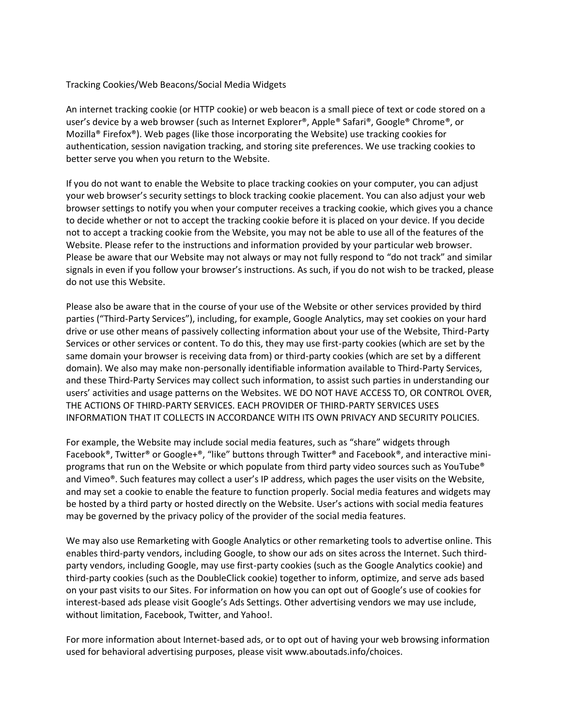## Tracking Cookies/Web Beacons/Social Media Widgets

An internet tracking cookie (or HTTP cookie) or web beacon is a small piece of text or code stored on a user's device by a web browser (such as Internet Explorer®, Apple® Safari®, Google® Chrome®, or Mozilla® Firefox®). Web pages (like those incorporating the Website) use tracking cookies for authentication, session navigation tracking, and storing site preferences. We use tracking cookies to better serve you when you return to the Website.

If you do not want to enable the Website to place tracking cookies on your computer, you can adjust your web browser's security settings to block tracking cookie placement. You can also adjust your web browser settings to notify you when your computer receives a tracking cookie, which gives you a chance to decide whether or not to accept the tracking cookie before it is placed on your device. If you decide not to accept a tracking cookie from the Website, you may not be able to use all of the features of the Website. Please refer to the instructions and information provided by your particular web browser. Please be aware that our Website may not always or may not fully respond to "do not track" and similar signals in even if you follow your browser's instructions. As such, if you do not wish to be tracked, please do not use this Website.

Please also be aware that in the course of your use of the Website or other services provided by third parties ("Third-Party Services"), including, for example, Google Analytics, may set cookies on your hard drive or use other means of passively collecting information about your use of the Website, Third-Party Services or other services or content. To do this, they may use first-party cookies (which are set by the same domain your browser is receiving data from) or third-party cookies (which are set by a different domain). We also may make non-personally identifiable information available to Third-Party Services, and these Third-Party Services may collect such information, to assist such parties in understanding our users' activities and usage patterns on the Websites. WE DO NOT HAVE ACCESS TO, OR CONTROL OVER, THE ACTIONS OF THIRD-PARTY SERVICES. EACH PROVIDER OF THIRD-PARTY SERVICES USES INFORMATION THAT IT COLLECTS IN ACCORDANCE WITH ITS OWN PRIVACY AND SECURITY POLICIES.

For example, the Website may include social media features, such as "share" widgets through Facebook®, Twitter® or Google+®, "like" buttons through Twitter® and Facebook®, and interactive miniprograms that run on the Website or which populate from third party video sources such as YouTube® and Vimeo®. Such features may collect a user's IP address, which pages the user visits on the Website, and may set a cookie to enable the feature to function properly. Social media features and widgets may be hosted by a third party or hosted directly on the Website. User's actions with social media features may be governed by the privacy policy of the provider of the social media features.

We may also use Remarketing with Google Analytics or other remarketing tools to advertise online. This enables third-party vendors, including Google, to show our ads on sites across the Internet. Such thirdparty vendors, including Google, may use first-party cookies (such as the Google Analytics cookie) and third-party cookies (such as the DoubleClick cookie) together to inform, optimize, and serve ads based on your past visits to our Sites. For information on how you can opt out of Google's use of cookies for interest-based ads please visit Google's Ads Settings. Other advertising vendors we may use include, without limitation, Facebook, Twitter, and Yahoo!.

For more information about Internet-based ads, or to opt out of having your web browsing information used for behavioral advertising purposes, please visit www.aboutads.info/choices.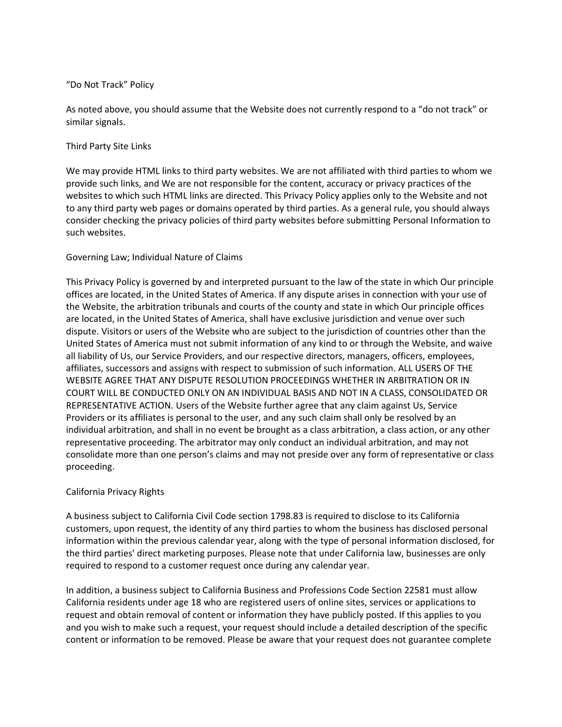#### "Do Not Track" Policy

As noted above, you should assume that the Website does not currently respond to a "do not track" or similar signals.

#### Third Party Site Links

We may provide HTML links to third party websites. We are not affiliated with third parties to whom we provide such links, and We are not responsible for the content, accuracy or privacy practices of the websites to which such HTML links are directed. This Privacy Policy applies only to the Website and not to any third party web pages or domains operated by third parties. As a general rule, you should always consider checking the privacy policies of third party websites before submitting Personal Information to such websites.

# Governing Law; Individual Nature of Claims

This Privacy Policy is governed by and interpreted pursuant to the law of the state in which Our principle offices are located, in the United States of America. If any dispute arises in connection with your use of the Website, the arbitration tribunals and courts of the county and state in which Our principle offices are located, in the United States of America, shall have exclusive jurisdiction and venue over such dispute. Visitors or users of the Website who are subject to the jurisdiction of countries other than the United States of America must not submit information of any kind to or through the Website, and waive all liability of Us, our Service Providers, and our respective directors, managers, officers, employees, affiliates, successors and assigns with respect to submission of such information. ALL USERS OF THE WEBSITE AGREE THAT ANY DISPUTE RESOLUTION PROCEEDINGS WHETHER IN ARBITRATION OR IN COURT WILL BE CONDUCTED ONLY ON AN INDIVIDUAL BASIS AND NOT IN A CLASS, CONSOLIDATED OR REPRESENTATIVE ACTION. Users of the Website further agree that any claim against Us, Service Providers or its affiliates is personal to the user, and any such claim shall only be resolved by an individual arbitration, and shall in no event be brought as a class arbitration, a class action, or any other representative proceeding. The arbitrator may only conduct an individual arbitration, and may not consolidate more than one person's claims and may not preside over any form of representative or class proceeding.

# California Privacy Rights

A business subject to California Civil Code section 1798.83 is required to disclose to its California customers, upon request, the identity of any third parties to whom the business has disclosed personal information within the previous calendar year, along with the type of personal information disclosed, for the third parties' direct marketing purposes. Please note that under California law, businesses are only required to respond to a customer request once during any calendar year.

In addition, a business subject to California Business and Professions Code Section 22581 must allow California residents under age 18 who are registered users of online sites, services or applications to request and obtain removal of content or information they have publicly posted. If this applies to you and you wish to make such a request, your request should include a detailed description of the specific content or information to be removed. Please be aware that your request does not guarantee complete